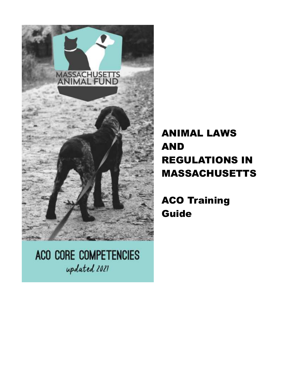

ACO CORE COMPETENCIES updated 2021

# ANIMAL LAWS AND REGULATIONS IN MASSACHUSETTS

ACO Training Guide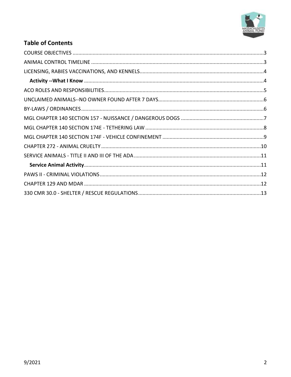

## **Table of Contents**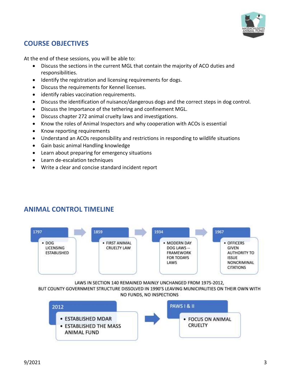

# <span id="page-2-0"></span>**COURSE OBJECTIVES**

At the end of these sessions, you will be able to:

- Discuss the sections in the current MGL that contain the majority of ACO duties and responsibilities.
- Identify the registration and licensing requirements for dogs.
- Discuss the requirements for Kennel licenses.
- identify rabies vaccination requirements.
- Discuss the identification of nuisance/dangerous dogs and the correct steps in dog control.
- Discuss the Importance of the tethering and confinement MGL.
- Discuss chapter 272 animal cruelty laws and investigations.
- Know the roles of Animal Inspectors and why cooperation with ACOs is essential
- Know reporting requirements
- Understand an ACOs responsibility and restrictions in responding to wildlife situations
- Gain basic animal Handling knowledge
- Learn about preparing for emergency situations
- Learn de-escalation techniques
- Write a clear and concise standard incident report

<span id="page-2-1"></span>



LAWS IN SECTION 140 REMAINED MAINLY UNCHANGED FROM 1975-2012,

BUT COUNTY GOVERNMENT STRUCTURE DISSOLVED IN 1990'S LEAVING MUNICIPALITIES ON THEIR OWN WITH NO FUNDS, NO INSPECTIONS

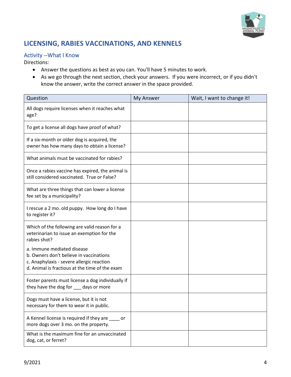

# <span id="page-3-0"></span>**LICENSING, RABIES VACCINATIONS, AND KENNELS**

#### <span id="page-3-1"></span>Activity --What I Know

Directions:

- Answer the questions as best as you can. You'll have 5 minutes to work.
- As we go through the next section, check your answers. If you were incorrect, or if you didn't know the answer, write the correct answer in the space provided.

| Question                                                                                                                                                             | My Answer | Wait, I want to change it! |
|----------------------------------------------------------------------------------------------------------------------------------------------------------------------|-----------|----------------------------|
| All dogs require licenses when it reaches what<br>age?                                                                                                               |           |                            |
| To get a license all dogs have proof of what?                                                                                                                        |           |                            |
| If a six-month or older dog is acquired, the<br>owner has how many days to obtain a license?                                                                         |           |                            |
| What animals must be vaccinated for rabies?                                                                                                                          |           |                            |
| Once a rabies vaccine has expired, the animal is<br>still considered vaccinated. True or False?                                                                      |           |                            |
| What are three things that can lower a license<br>fee set by a municipality?                                                                                         |           |                            |
| I rescue a 2 mo. old puppy. How long do I have<br>to register it?                                                                                                    |           |                            |
| Which of the following are valid reason for a<br>veterinarian to issue an exemption for the<br>rabies shot?                                                          |           |                            |
| a. Immune mediated disease<br>b. Owners don't believe in vaccinations<br>c. Anaphylaxis - severe allergic reaction<br>d. Animal is fractious at the time of the exam |           |                            |
| Foster parents must license a dog individually if<br>they have the dog for ___ days or more                                                                          |           |                            |
| Dogs must have a license, but it is not<br>necessary for them to wear it in public.                                                                                  |           |                            |
| A Kennel license is required if they are ____ or<br>more dogs over 3 mo. on the property.                                                                            |           |                            |
| What is the maximum fine for an unvaccinated<br>dog, cat, or ferret?                                                                                                 |           |                            |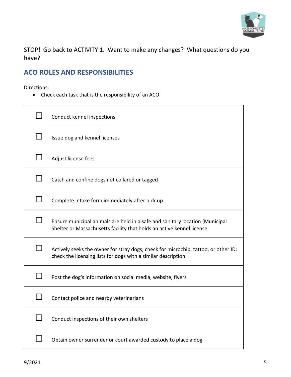

STOP! Go back to ACTIVITY 1. Want to make any changes? What questions do you have?

## <span id="page-4-0"></span>**ACO ROLES AND RESPONSIBILITIES**

Directions:

• Check each task that is the responsibility of an ACO.

| Conduct kennel inspections                                                                                                                            |
|-------------------------------------------------------------------------------------------------------------------------------------------------------|
| Issue dog and kennel licenses                                                                                                                         |
| Adjust license fees                                                                                                                                   |
| Catch and confine dogs not collared or tagged                                                                                                         |
| Complete intake form immediately after pick up                                                                                                        |
| Ensure municipal animals are held in a safe and sanitary location (Municipal<br>Shelter or Massachusetts facility that holds an active kennel license |
| Actively seeks the owner for stray dogs; check for microchip, tattoo, or other ID;<br>check the licensing lists for dogs with a similar description   |
| Post the dog's information on social media, website, flyers                                                                                           |
| Contact police and nearby veterinarians                                                                                                               |
| Conduct inspections of their own shelters                                                                                                             |
| Obtain owner surrender or court awarded custody to place a dog                                                                                        |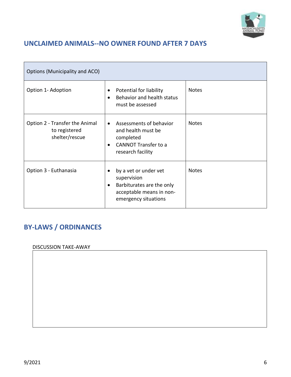

# <span id="page-5-0"></span>**UNCLAIMED ANIMALS--NO OWNER FOUND AFTER 7 DAYS**

| Options (Municipality and ACO)                                    |                                                                                                                                          |              |
|-------------------------------------------------------------------|------------------------------------------------------------------------------------------------------------------------------------------|--------------|
| Option 1- Adoption                                                | Potential for liability<br>$\bullet$<br>Behavior and health status<br>$\bullet$<br>must be assessed                                      | <b>Notes</b> |
| Option 2 - Transfer the Animal<br>to registered<br>shelter/rescue | Assessments of behavior<br>$\bullet$<br>and health must be<br>completed<br><b>CANNOT Transfer to a</b><br>$\bullet$<br>research facility | <b>Notes</b> |
| Option 3 - Euthanasia                                             | by a vet or under vet<br>supervision<br>Barbiturates are the only<br>$\bullet$<br>acceptable means in non-<br>emergency situations       | <b>Notes</b> |

# <span id="page-5-1"></span>**BY-LAWS / ORDINANCES**

DISCUSSION TAKE-AWAY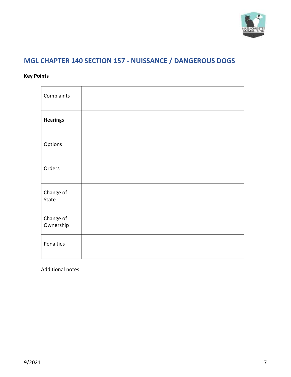

# <span id="page-6-0"></span>**MGL CHAPTER 140 SECTION 157 - NUISSANCE / DANGEROUS DOGS**

### **Key Points**

| Complaints             |  |
|------------------------|--|
| Hearings               |  |
| Options                |  |
| Orders                 |  |
| Change of<br>State     |  |
| Change of<br>Ownership |  |
| Penalties              |  |

Additional notes: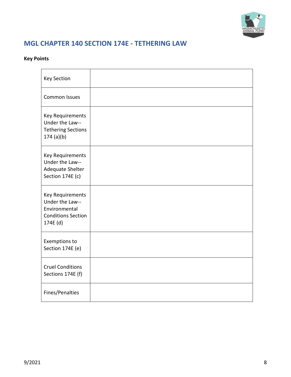

# <span id="page-7-0"></span>**MGL CHAPTER 140 SECTION 174E - TETHERING LAW**

### **Key Points**

| <b>Key Section</b>                                                                            |  |
|-----------------------------------------------------------------------------------------------|--|
| Common Issues                                                                                 |  |
| Key Requirements<br>Under the Law--<br><b>Tethering Sections</b><br>174 (a)(b)                |  |
| Key Requirements<br>Under the Law--<br>Adequate Shelter<br>Section 174E (c)                   |  |
| Key Requirements<br>Under the Law--<br>Environmental<br><b>Conditions Section</b><br>174E (d) |  |
| Exemptions to<br>Section 174E (e)                                                             |  |
| <b>Cruel Conditions</b><br>Sections 174E (f)                                                  |  |
| Fines/Penalties                                                                               |  |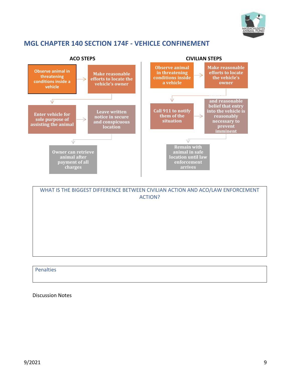

## <span id="page-8-0"></span>**MGL CHAPTER 140 SECTION 174F - VEHICLE CONFINEMENT**



WHAT IS THE BIGGEST DIFFERENCE BETWEEN CIVILIAN ACTION AND ACO/LAW ENFORCEMENT ACTION?

Penalties

Discussion Notes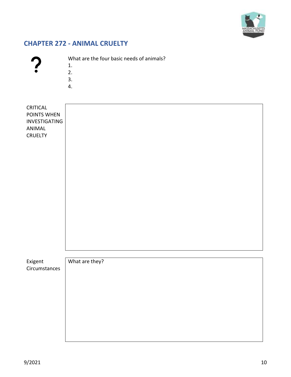

# <span id="page-9-0"></span>**CHAPTER 272 - ANIMAL CRUELTY**

| c |  |
|---|--|
| c |  |
| m |  |

What are the four basic needs of animals?

- 1.
- 2.
- 3.
- 4.

| CRITICAL<br>POINTS WHEN<br>INVESTIGATING<br>ANIMAL<br>CRUELTY |                |
|---------------------------------------------------------------|----------------|
| Exigent                                                       | What are they? |
| Circumstances                                                 |                |
|                                                               |                |
|                                                               |                |
|                                                               |                |
|                                                               |                |
|                                                               |                |
|                                                               |                |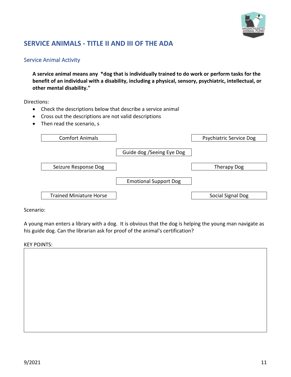

## <span id="page-10-0"></span>**SERVICE ANIMALS - TITLE II AND III OF THE ADA**

#### <span id="page-10-1"></span>Service Animal Activity

**A service animal means any \*dog that is individually trained to do work or perform tasks for the benefit of an individual with a disability, including a physical, sensory, psychiatric, intellectual, or other mental disability."**

Directions:

- Check the descriptions below that describe a service animal
- Cross out the descriptions are not valid descriptions
- Then read the scenario, s

| <b>Comfort Animals</b>         |                              | <b>Psychiatric Service Dog</b> |
|--------------------------------|------------------------------|--------------------------------|
|                                | Guide dog / Seeing Eye Dog   |                                |
| Seizure Response Dog           |                              | Therapy Dog                    |
|                                | <b>Emotional Support Dog</b> |                                |
| <b>Trained Miniature Horse</b> |                              | Social Signal Dog              |

Scenario:

A young man enters a library with a dog. It is obvious that the dog is helping the young man navigate as his guide dog. Can the librarian ask for proof of the animal's certification?

#### KEY POINTS: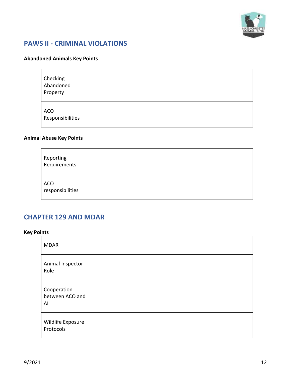

## <span id="page-11-0"></span>**PAWS II - CRIMINAL VIOLATIONS**

#### **Abandoned Animals Key Points**

| Checking<br>Abandoned<br>Property |  |
|-----------------------------------|--|
| <b>ACO</b><br>Responsibilities    |  |

#### **Animal Abuse Key Points**

| Reporting<br>Requirements      |  |
|--------------------------------|--|
| <b>ACO</b><br>responsibilities |  |

#### <span id="page-11-1"></span>**CHAPTER 129 AND MDAR**

#### **Key Points**

| <b>MDAR</b>                          |  |
|--------------------------------------|--|
| Animal Inspector<br>Role             |  |
| Cooperation<br>between ACO and<br>Al |  |
| Wildlife Exposure<br>Protocols       |  |